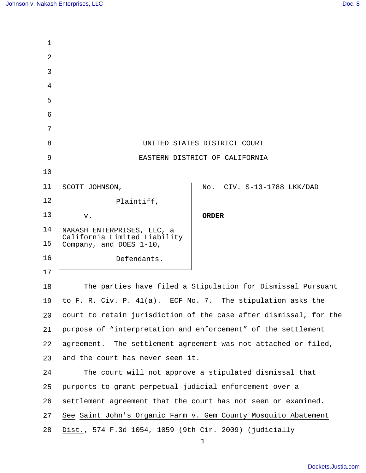| 1              |                                                                   |                              |
|----------------|-------------------------------------------------------------------|------------------------------|
| $\overline{2}$ |                                                                   |                              |
| 3              |                                                                   |                              |
| 4              |                                                                   |                              |
| 5              |                                                                   |                              |
| 6              |                                                                   |                              |
| 7              |                                                                   |                              |
| 8              |                                                                   | UNITED STATES DISTRICT COURT |
| 9              | EASTERN DISTRICT OF CALIFORNIA                                    |                              |
| 10             |                                                                   |                              |
| 11             | SCOTT JOHNSON,                                                    | No. CIV. S-13-1788 LKK/DAD   |
| 12             | Plaintiff,                                                        |                              |
| 13             | v.                                                                | <b>ORDER</b>                 |
| 14             | NAKASH ENTERPRISES, LLC, a                                        |                              |
| 15             | California Limited Liability<br>Company, and DOES 1-10,           |                              |
| 16             | Defendants.                                                       |                              |
| 17             |                                                                   |                              |
| 18             | The parties have filed a Stipulation for Dismissal Pursuant       |                              |
| 19             | to F. R. Civ. P. 41(a). ECF No. 7. The stipulation asks the       |                              |
| 20             | court to retain jurisdiction of the case after dismissal, for the |                              |
| 21             | purpose of "interpretation and enforcement" of the settlement     |                              |
| 22             | agreement. The settlement agreement was not attached or filed,    |                              |
| 23             | and the court has never seen it.                                  |                              |
| 24             | The court will not approve a stipulated dismissal that            |                              |
| 25             | purports to grant perpetual judicial enforcement over a           |                              |
| 26             | settlement agreement that the court has not seen or examined.     |                              |
| 27             | See Saint John's Organic Farm v. Gem County Mosquito Abatement    |                              |
| 28             | Dist., 574 F.3d 1054, 1059 (9th Cir. 2009) (judicially            |                              |
|                |                                                                   | 1                            |
|                |                                                                   |                              |